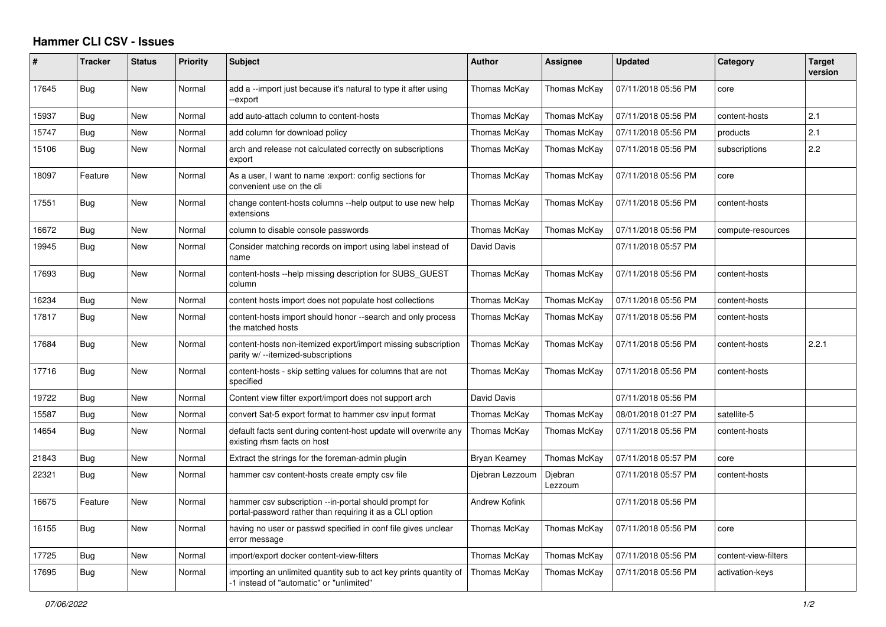## **Hammer CLI CSV - Issues**

| $\#$  | <b>Tracker</b> | <b>Status</b> | Priority | <b>Subject</b>                                                                                                    | <b>Author</b>        | Assignee           | <b>Updated</b>      | Category             | <b>Target</b><br>version |
|-------|----------------|---------------|----------|-------------------------------------------------------------------------------------------------------------------|----------------------|--------------------|---------------------|----------------------|--------------------------|
| 17645 | Bug            | New           | Normal   | add a --import just because it's natural to type it after using<br>-export                                        | Thomas McKay         | Thomas McKay       | 07/11/2018 05:56 PM | core                 |                          |
| 15937 | <b>Bug</b>     | <b>New</b>    | Normal   | add auto-attach column to content-hosts                                                                           | Thomas McKay         | Thomas McKay       | 07/11/2018 05:56 PM | content-hosts        | 2.1                      |
| 15747 | Bug            | New           | Normal   | add column for download policy                                                                                    | Thomas McKay         | Thomas McKay       | 07/11/2018 05:56 PM | products             | 2.1                      |
| 15106 | Bug            | <b>New</b>    | Normal   | arch and release not calculated correctly on subscriptions<br>export                                              | Thomas McKay         | Thomas McKay       | 07/11/2018 05:56 PM | subscriptions        | 2.2                      |
| 18097 | Feature        | New           | Normal   | As a user, I want to name : export: config sections for<br>convenient use on the cli                              | Thomas McKay         | Thomas McKay       | 07/11/2018 05:56 PM | core                 |                          |
| 17551 | <b>Bug</b>     | <b>New</b>    | Normal   | change content-hosts columns --help output to use new help<br>extensions                                          | Thomas McKay         | Thomas McKay       | 07/11/2018 05:56 PM | content-hosts        |                          |
| 16672 | Bug            | New           | Normal   | column to disable console passwords                                                                               | Thomas McKay         | Thomas McKay       | 07/11/2018 05:56 PM | compute-resources    |                          |
| 19945 | Bug            | New           | Normal   | Consider matching records on import using label instead of<br>name                                                | David Davis          |                    | 07/11/2018 05:57 PM |                      |                          |
| 17693 | Bug            | New           | Normal   | content-hosts --help missing description for SUBS GUEST<br>column                                                 | Thomas McKay         | Thomas McKay       | 07/11/2018 05:56 PM | content-hosts        |                          |
| 16234 | Bug            | New           | Normal   | content hosts import does not populate host collections                                                           | Thomas McKay         | Thomas McKay       | 07/11/2018 05:56 PM | content-hosts        |                          |
| 17817 | Bug            | New           | Normal   | content-hosts import should honor --search and only process<br>the matched hosts                                  | Thomas McKay         | Thomas McKay       | 07/11/2018 05:56 PM | content-hosts        |                          |
| 17684 | Bug            | <b>New</b>    | Normal   | content-hosts non-itemized export/import missing subscription<br>parity w/ --itemized-subscriptions               | Thomas McKay         | Thomas McKay       | 07/11/2018 05:56 PM | content-hosts        | 2.2.1                    |
| 17716 | Bug            | <b>New</b>    | Normal   | content-hosts - skip setting values for columns that are not<br>specified                                         | Thomas McKay         | Thomas McKay       | 07/11/2018 05:56 PM | content-hosts        |                          |
| 19722 | Bug            | New           | Normal   | Content view filter export/import does not support arch                                                           | David Davis          |                    | 07/11/2018 05:56 PM |                      |                          |
| 15587 | Bug            | New           | Normal   | convert Sat-5 export format to hammer csv input format                                                            | Thomas McKay         | Thomas McKay       | 08/01/2018 01:27 PM | satellite-5          |                          |
| 14654 | <b>Bug</b>     | New           | Normal   | default facts sent during content-host update will overwrite any<br>existing rhsm facts on host                   | Thomas McKay         | Thomas McKay       | 07/11/2018 05:56 PM | content-hosts        |                          |
| 21843 | Bug            | New           | Normal   | Extract the strings for the foreman-admin plugin                                                                  | Bryan Kearney        | Thomas McKay       | 07/11/2018 05:57 PM | core                 |                          |
| 22321 | Bug            | New           | Normal   | hammer csy content-hosts create empty csy file                                                                    | Djebran Lezzoum      | Djebran<br>Lezzoum | 07/11/2018 05:57 PM | content-hosts        |                          |
| 16675 | Feature        | New           | Normal   | hammer csv subscription --in-portal should prompt for<br>portal-password rather than requiring it as a CLI option | <b>Andrew Kofink</b> |                    | 07/11/2018 05:56 PM |                      |                          |
| 16155 | Bug            | New           | Normal   | having no user or passwd specified in conf file gives unclear<br>error message                                    | Thomas McKay         | Thomas McKay       | 07/11/2018 05:56 PM | core                 |                          |
| 17725 | Bug            | New           | Normal   | import/export docker content-view-filters                                                                         | Thomas McKay         | Thomas McKay       | 07/11/2018 05:56 PM | content-view-filters |                          |
| 17695 | Bug            | New           | Normal   | importing an unlimited quantity sub to act key prints quantity of<br>-1 instead of "automatic" or "unlimited"     | Thomas McKay         | Thomas McKay       | 07/11/2018 05:56 PM | activation-keys      |                          |